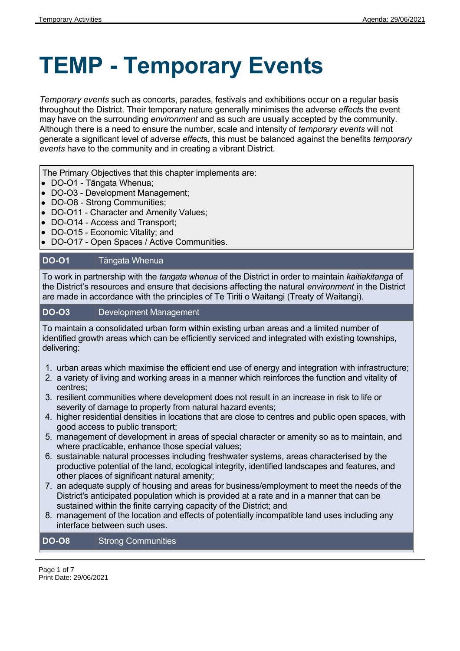# **TEMP - Temporary Events**

*Temporary events* such as concerts, parades, festivals and exhibitions occur on a regular basis throughout the District. Their temporary nature generally minimises the adverse *effect*s the event may have on the surrounding *environment* and as such are usually accepted by the community. Although there is a need to ensure the number, scale and intensity of *temporary events* will not generate a significant level of adverse *effect*s, this must be balanced against the benefits *temporary events* have to the community and in creating a vibrant District.

The Primary Objectives that this chapter implements are:

- DO-O1 Tāngata Whenua;
- DO-O3 Development Management;
- DO-O8 Strong Communities;
- DO-O11 Character and Amenity Values;
- DO-O14 Access and Transport;
- DO-O15 Economic Vitality; and
- DO-O17 Open Spaces / Active Communities.

#### **DO-O1** Tāngata Whenua

To work in partnership with the *tangata whenua* of the District in order to maintain *kaitiakitanga* of the District's resources and ensure that decisions affecting the natural *environment* in the District are made in accordance with the principles of Te Tiriti o Waitangi (Treaty of Waitangi).

#### **DO-O3** Development Management

To maintain a consolidated urban form within existing urban areas and a limited number of identified growth areas which can be efficiently serviced and integrated with existing townships, delivering:

- 1. urban areas which maximise the efficient end use of energy and integration with infrastructure;
- 2. a variety of living and working areas in a manner which reinforces the function and vitality of centres;
- 3. resilient communities where development does not result in an increase in risk to life or severity of damage to property from natural hazard events;
- 4. higher residential densities in locations that are close to centres and public open spaces, with good access to public transport;
- 5. management of development in areas of special character or amenity so as to maintain, and where practicable, enhance those special values;
- 6. sustainable natural processes including freshwater systems, areas characterised by the productive potential of the land, ecological integrity, identified landscapes and features, and other places of significant natural amenity;
- 7. an adequate supply of housing and areas for business/employment to meet the needs of the District's anticipated population which is provided at a rate and in a manner that can be sustained within the finite carrying capacity of the District; and
- 8. management of the location and effects of potentially incompatible land uses including any interface between such uses.

#### **DO-O8** Strong Communities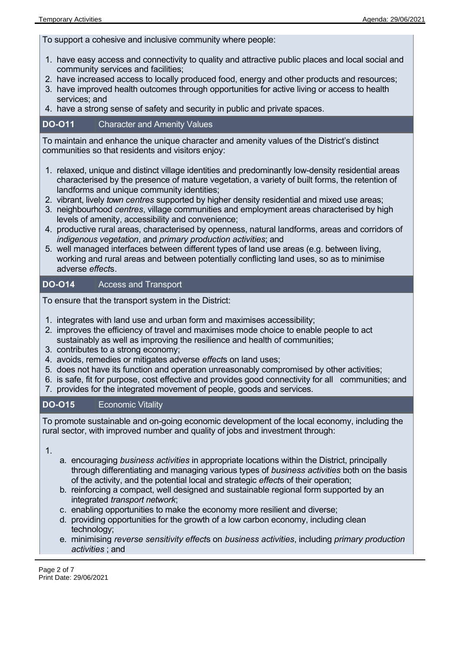To support a cohesive and inclusive community where people:

- 1. have easy access and connectivity to quality and attractive public places and local social and community services and facilities;
- 2. have increased access to locally produced food, energy and other products and resources;
- 3. have improved health outcomes through opportunities for active living or access to health services; and
- 4. have a strong sense of safety and security in public and private spaces.

#### **DO-O11** Character and Amenity Values

To maintain and enhance the unique character and amenity values of the District's distinct communities so that residents and visitors enjoy:

- 1. relaxed, unique and distinct village identities and predominantly low-density residential areas characterised by the presence of mature vegetation, a variety of built forms, the retention of landforms and unique community identities;
- 2. vibrant, lively *town centres* supported by higher density residential and mixed use areas;
- 3. neighbourhood *centres*, village communities and employment areas characterised by high levels of amenity, accessibility and convenience;
- 4. productive rural areas, characterised by openness, natural landforms, areas and corridors of *indigenous vegetation*, and *primary production activities*; and
- 5. well managed interfaces between different types of land use areas (e.g. between living, working and rural areas and between potentially conflicting land uses, so as to minimise adverse *effect*s.

#### **DO-O14** Access and Transport

To ensure that the transport system in the District:

- 1. integrates with land use and urban form and maximises accessibility;
- 2. improves the efficiency of travel and maximises mode choice to enable people to act sustainably as well as improving the resilience and health of communities;
- 3. contributes to a strong economy;
- 4. avoids, remedies or mitigates adverse *effect*s on land uses;
- 5. does not have its function and operation unreasonably compromised by other activities;
- 6. is safe, fit for purpose, cost effective and provides good connectivity for all communities; and
- 7. provides for the integrated movement of people, goods and services.

#### **DO-O15** Economic Vitality

To promote sustainable and on-going economic development of the local economy, including the rural sector, with improved number and quality of jobs and investment through:

1.

- a. encouraging *business activities* in appropriate locations within the District, principally through differentiating and managing various types of *business activities* both on the basis of the activity, and the potential local and strategic *effect*s of their operation;
- b. reinforcing a compact, well designed and sustainable regional form supported by an integrated *transport network*;
- c. enabling opportunities to make the economy more resilient and diverse;
- d. providing opportunities for the growth of a low carbon economy, including clean technology;
- e. minimising *reverse sensitivity effect*s on *business activities*, including *primary production activities* ; and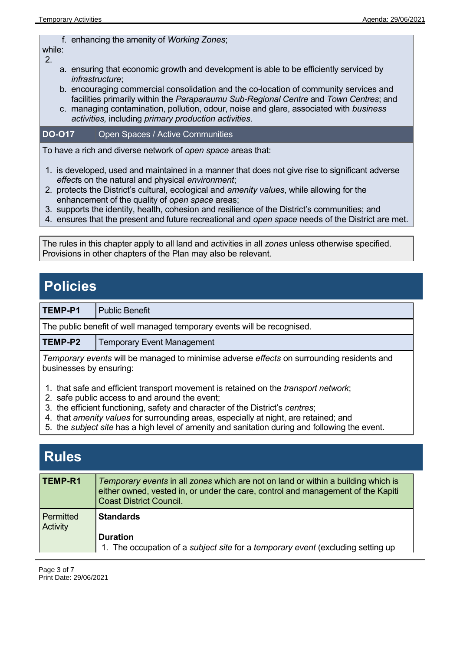f. enhancing the amenity of *Working Zones*;

while: 2.

- a. ensuring that economic growth and development is able to be efficiently serviced by *infrastructure*;
- b. encouraging commercial consolidation and the co-location of community services and facilities primarily within the *Paraparaumu Sub-Regional Centre* and *Town Centres*; and
- c. managing contamination, pollution, odour, noise and glare, associated with *business activities,* including *primary production activities*.

#### **DO-O17** Open Spaces / Active Communities

To have a rich and diverse network of *open space* areas that:

- 1. is developed, used and maintained in a manner that does not give rise to significant adverse *effect*s on the natural and physical *environment*;
- 2. protects the District's cultural, ecological and *amenity values*, while allowing for the enhancement of the quality of *open space* areas;
- 3. supports the identity, health, cohesion and resilience of the District's communities; and
- 4. ensures that the present and future recreational and *open space* needs of the District are met.

The rules in this chapter apply to all land and activities in all *zones* unless otherwise specified. Provisions in other chapters of the Plan may also be relevant.

## **Policies**

**TEMP-P1** Public Benefit

The public benefit of well managed temporary events will be recognised.

**TEMP-P2** | Temporary Event Management

*Temporary events* will be managed to minimise adverse *effects* on surrounding residents and businesses by ensuring:

- 1. that safe and efficient transport movement is retained on the *transport network*;
- 2. safe public access to and around the event;
- 3. the efficient functioning, safety and character of the District's *centres*;
- 4. that *amenity values* for surrounding areas, especially at night, are retained; and
- 5. the *subject site* has a high level of amenity and sanitation during and following the event.

| <b>Rules</b>          |                                                                                                                                                                                                         |
|-----------------------|---------------------------------------------------------------------------------------------------------------------------------------------------------------------------------------------------------|
| TEMP-R1               | Temporary events in all zones which are not on land or within a building which is<br>either owned, vested in, or under the care, control and management of the Kapiti<br><b>Coast District Council.</b> |
| Permitted<br>Activity | <b>Standards</b><br><b>Duration</b><br>1. The occupation of a subject site for a temporary event (excluding setting up                                                                                  |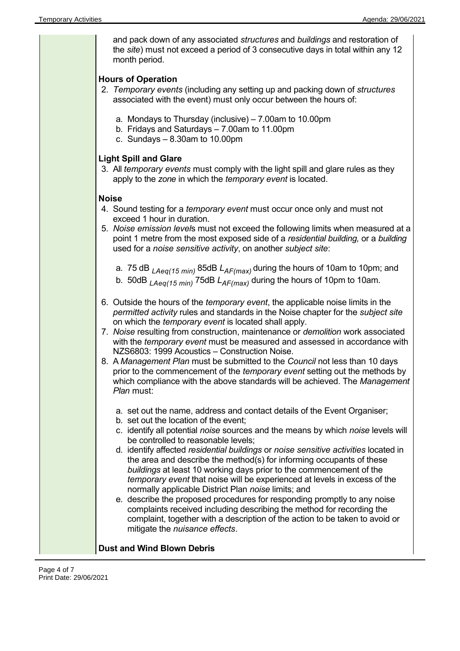| and pack down of any associated structures and buildings and restoration of<br>the site) must not exceed a period of 3 consecutive days in total within any 12<br>month period.                                                                                                                                                                                                                                                                                                                                                                                                                                                                                                                                                                                                                                                                                                               |  |
|-----------------------------------------------------------------------------------------------------------------------------------------------------------------------------------------------------------------------------------------------------------------------------------------------------------------------------------------------------------------------------------------------------------------------------------------------------------------------------------------------------------------------------------------------------------------------------------------------------------------------------------------------------------------------------------------------------------------------------------------------------------------------------------------------------------------------------------------------------------------------------------------------|--|
| <b>Hours of Operation</b><br>2. Temporary events (including any setting up and packing down of structures<br>associated with the event) must only occur between the hours of:                                                                                                                                                                                                                                                                                                                                                                                                                                                                                                                                                                                                                                                                                                                 |  |
| a. Mondays to Thursday (inclusive) - 7.00am to 10.00pm<br>b. Fridays and Saturdays - 7.00am to 11.00pm<br>c. Sundays $-8.30$ am to 10.00pm                                                                                                                                                                                                                                                                                                                                                                                                                                                                                                                                                                                                                                                                                                                                                    |  |
| <b>Light Spill and Glare</b><br>3. All temporary events must comply with the light spill and glare rules as they<br>apply to the zone in which the temporary event is located.                                                                                                                                                                                                                                                                                                                                                                                                                                                                                                                                                                                                                                                                                                                |  |
| <b>Noise</b><br>4. Sound testing for a <i>temporary event</i> must occur once only and must not<br>exceed 1 hour in duration.<br>5. Noise emission levels must not exceed the following limits when measured at a<br>point 1 metre from the most exposed side of a residential building, or a building<br>used for a noise sensitive activity, on another subject site:                                                                                                                                                                                                                                                                                                                                                                                                                                                                                                                       |  |
| a. 75 dB $_{LAeq(15\,min)}$ 85dB $L_{AF(max)}$ during the hours of 10am to 10pm; and<br>b. 50dB $_{LAeq(15\,min)}$ 75dB $L_{AF(max)}$ during the hours of 10pm to 10am.                                                                                                                                                                                                                                                                                                                                                                                                                                                                                                                                                                                                                                                                                                                       |  |
| 6. Outside the hours of the <i>temporary event</i> , the applicable noise limits in the<br>permitted activity rules and standards in the Noise chapter for the subject site<br>on which the <i>temporary event</i> is located shall apply.<br>7. Noise resulting from construction, maintenance or demolition work associated<br>with the temporary event must be measured and assessed in accordance with<br>NZS6803: 1999 Acoustics - Construction Noise.<br>8. A Management Plan must be submitted to the Council not less than 10 days<br>prior to the commencement of the <i>temporary event</i> setting out the methods by<br>which compliance with the above standards will be achieved. The Management<br>Plan must:                                                                                                                                                                  |  |
| a. set out the name, address and contact details of the Event Organiser;<br>b. set out the location of the event;<br>c. identify all potential noise sources and the means by which noise levels will<br>be controlled to reasonable levels;<br>d. identify affected residential buildings or noise sensitive activities located in<br>the area and describe the method(s) for informing occupants of these<br>buildings at least 10 working days prior to the commencement of the<br>temporary event that noise will be experienced at levels in excess of the<br>normally applicable District Plan noise limits; and<br>e. describe the proposed procedures for responding promptly to any noise<br>complaints received including describing the method for recording the<br>complaint, together with a description of the action to be taken to avoid or<br>mitigate the nuisance effects. |  |
| <b>Dust and Wind Blown Debris</b>                                                                                                                                                                                                                                                                                                                                                                                                                                                                                                                                                                                                                                                                                                                                                                                                                                                             |  |

### **Dust and Wind Blown Debris**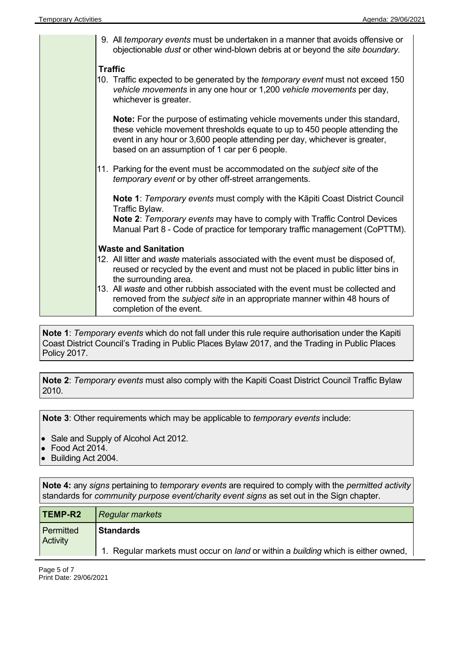| 9. All temporary events must be undertaken in a manner that avoids offensive or<br>objectionable dust or other wind-blown debris at or beyond the site boundary.                                                                                                                                                                                                     |  |
|----------------------------------------------------------------------------------------------------------------------------------------------------------------------------------------------------------------------------------------------------------------------------------------------------------------------------------------------------------------------|--|
| <b>Traffic</b><br>10. Traffic expected to be generated by the temporary event must not exceed 150<br>vehicle movements in any one hour or 1,200 vehicle movements per day,<br>whichever is greater.                                                                                                                                                                  |  |
| <b>Note:</b> For the purpose of estimating vehicle movements under this standard,<br>these vehicle movement thresholds equate to up to 450 people attending the<br>event in any hour or 3,600 people attending per day, whichever is greater,<br>based on an assumption of 1 car per 6 people.                                                                       |  |
| 11. Parking for the event must be accommodated on the <i>subject site</i> of the<br>temporary event or by other off-street arrangements.                                                                                                                                                                                                                             |  |
| <b>Note 1: Temporary events must comply with the Kapiti Coast District Council</b><br>Traffic Bylaw.<br><b>Note 2: Temporary events may have to comply with Traffic Control Devices</b><br>Manual Part 8 - Code of practice for temporary traffic management (CoPTTM).                                                                                               |  |
| <b>Waste and Sanitation</b>                                                                                                                                                                                                                                                                                                                                          |  |
| 12. All litter and waste materials associated with the event must be disposed of,<br>reused or recycled by the event and must not be placed in public litter bins in<br>the surrounding area.<br>13. All waste and other rubbish associated with the event must be collected and<br>removed from the <i>subject site</i> in an appropriate manner within 48 hours of |  |
| completion of the event.                                                                                                                                                                                                                                                                                                                                             |  |

**Note 1**: *Temporary events* which do not fall under this rule require authorisation under the Kapiti Coast District Council's Trading in Public Places Bylaw 2017, and the Trading in Public Places Policy 2017.

**Note 2**: *Temporary events* must also comply with the Kapiti Coast District Council Traffic Bylaw 2010.

**Note 3**: Other requirements which may be applicable to *temporary events* include:

- Sale and Supply of Alcohol Act 2012.
- Food Act 2014.
- Building Act 2004.

**Note 4:** any *signs* pertaining to *temporary events* are required to comply with the *permitted activity* standards for *community purpose event/charity event signs* as set out in the Sign chapter.

| <b>TEMP-R2</b>               | <b>Regular markets</b>                                                            |
|------------------------------|-----------------------------------------------------------------------------------|
| Permitted<br><b>Activity</b> | <b>Standards</b>                                                                  |
|                              | 1. Regular markets must occur on land or within a building which is either owned, |

Page 5 of 7 Print Date: 29/06/2021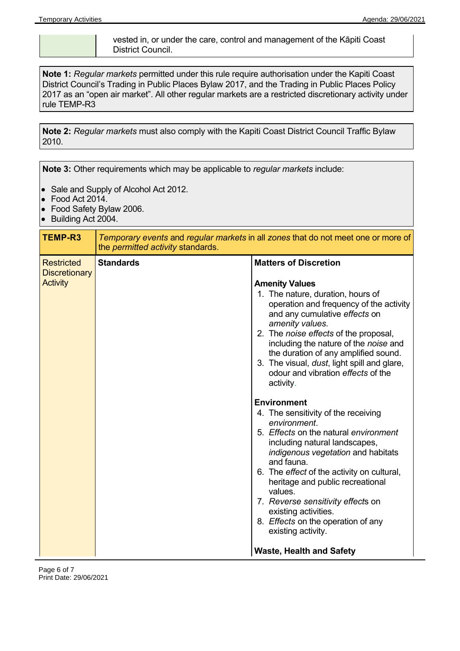vested in, or under the care, control and management of the Kāpiti Coast District Council.

**Note 1:** *Regular markets* permitted under this rule require authorisation under the Kapiti Coast District Council's Trading in Public Places Bylaw 2017, and the Trading in Public Places Policy 2017 as an "open air market". All other regular markets are a restricted discretionary activity under rule TEMP-R3

**Note 2:** *Regular markets* must also comply with the Kapiti Coast District Council Traffic Bylaw 2010.

**Note 3:** Other requirements which may be applicable to *regular markets* include:

- Sale and Supply of Alcohol Act 2012.
- Food Act 2014.
- Food Safety Bylaw 2006.
- Building Act 2004.

| TEMP-R3                                                      | Temporary events and regular markets in all zones that do not meet one or more of<br>the permitted activity standards. |                                                                                                                                                                                                                                                                                                                                                                                                                                                                               |
|--------------------------------------------------------------|------------------------------------------------------------------------------------------------------------------------|-------------------------------------------------------------------------------------------------------------------------------------------------------------------------------------------------------------------------------------------------------------------------------------------------------------------------------------------------------------------------------------------------------------------------------------------------------------------------------|
| <b>Restricted</b><br><b>Discretionary</b><br><b>Activity</b> | <b>Standards</b>                                                                                                       | <b>Matters of Discretion</b><br><b>Amenity Values</b><br>1. The nature, duration, hours of<br>operation and frequency of the activity<br>and any cumulative effects on<br>amenity values.<br>2. The <i>noise effects</i> of the proposal,<br>including the nature of the noise and<br>the duration of any amplified sound.<br>3. The visual, <i>dust</i> , light spill and glare,<br>odour and vibration effects of the                                                       |
|                                                              |                                                                                                                        | activity.<br><b>Environment</b><br>4. The sensitivity of the receiving<br>environment.<br>5. Effects on the natural environment<br>including natural landscapes,<br>indigenous vegetation and habitats<br>and fauna.<br>6. The effect of the activity on cultural,<br>heritage and public recreational<br>values.<br>7. Reverse sensitivity effects on<br>existing activities.<br>8. Effects on the operation of any<br>existing activity.<br><b>Waste, Health and Safety</b> |